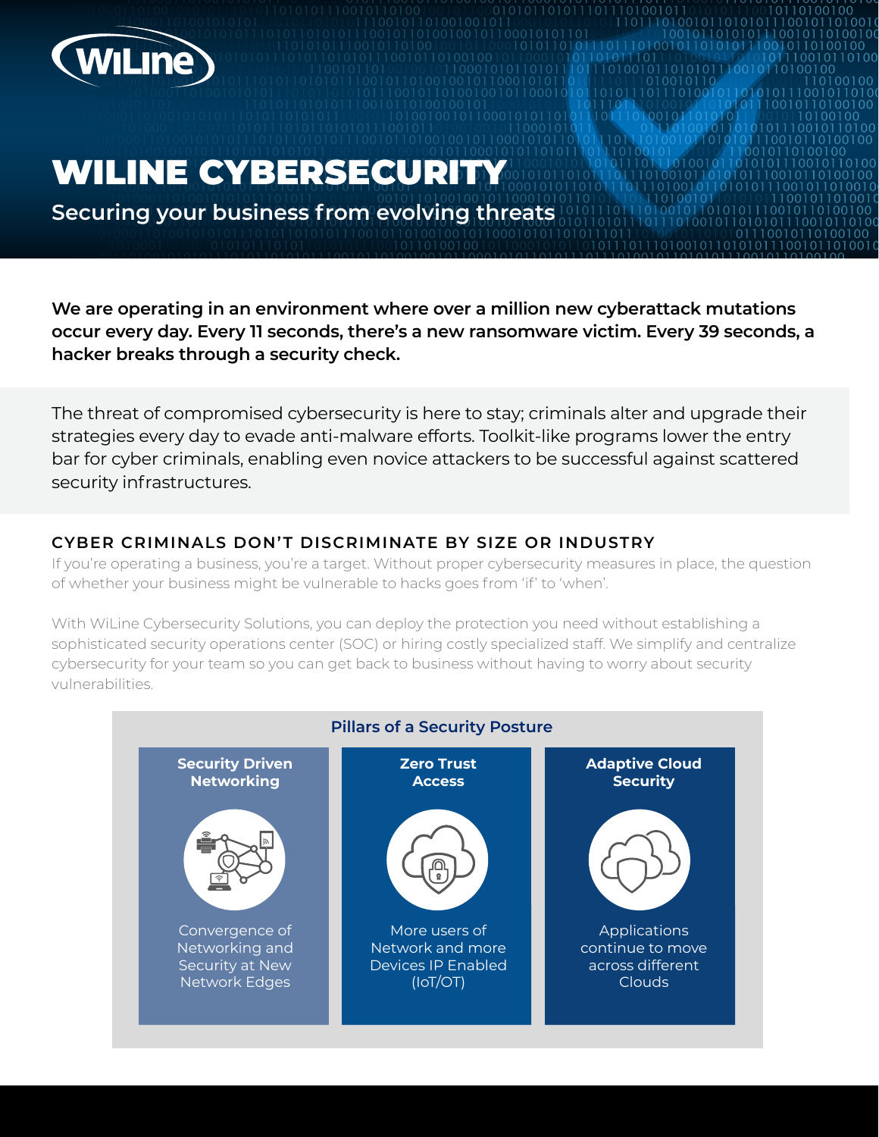

# WILINE CYBERSECURITY

**Securing your business from evolving threats**

**We are operating in an environment where over a million new cyberattack mutations occur every day. Every 11 seconds, there's a new ransomware victim. Every 39 seconds, a hacker breaks through a security check.** 

The threat of compromised cybersecurity is here to stay; criminals alter and upgrade their strategies every day to evade anti-malware efforts. Toolkit-like programs lower the entry bar for cyber criminals, enabling even novice attackers to be successful against scattered security infrastructures.

#### **CYBER CRIMINALS DON'T DISCRIMINATE BY SIZE OR INDUSTRY**

If you're operating a business, you're a target. Without proper cybersecurity measures in place, the question of whether your business might be vulnerable to hacks goes from 'if' to 'when'.

With WiLine Cybersecurity Solutions, you can deploy the protection you need without establishing a sophisticated security operations center (SOC) or hiring costly specialized staff. We simplify and centralize cybersecurity for your team so you can get back to business without having to worry about security vulnerabilities.